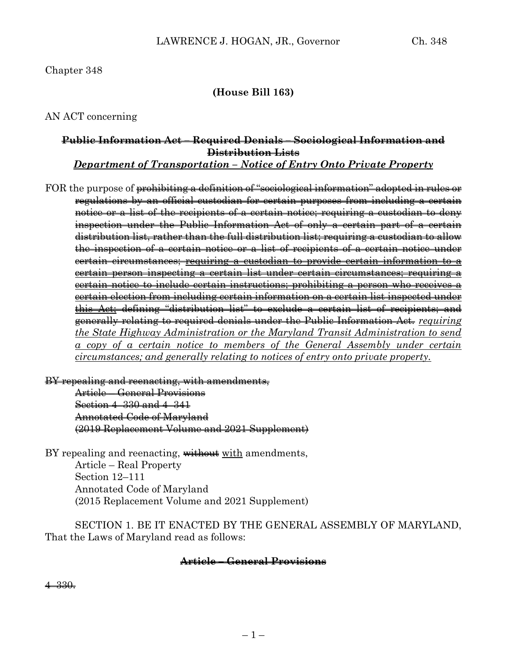### Chapter 348

### **(House Bill 163)**

AN ACT concerning

# **Public Information Act – Required Denials – Sociological Information and Distribution Lists**

*Department of Transportation – Notice of Entry Onto Private Property*

FOR the purpose of prohibiting a definition of "sociological information" adopted in rules or regulations by an official custodian for certain purposes from including a certain notice or a list of the recipients of a certain notice; requiring a custodian to deny inspection under the Public Information Act of only a certain part of a certain distribution list, rather than the full distribution list; requiring a custodian to allow the inspection of a certain notice or a list of recipients of a certain notice under certain circumstances; requiring a custodian to provide certain information to a certain person inspecting a certain list under certain circumstances; requiring a certain notice to include certain instructions; prohibiting a person who receives a certain election from including certain information on a certain list inspected under this Act; defining "distribution list" to exclude a certain list of recipients; and generally relating to required denials under the Public Information Act. *requiring the State Highway Administration or the Maryland Transit Administration to send a copy of a certain notice to members of the General Assembly under certain circumstances; and generally relating to notices of entry onto private property.*

BY repealing and reenacting, with amendments, Article – General Provisions Section 4–330 and 4–341 Annotated Code of Maryland (2019 Replacement Volume and 2021 Supplement)

BY repealing and reenacting, without with amendments, Article – Real Property Section 12–111 Annotated Code of Maryland (2015 Replacement Volume and 2021 Supplement)

SECTION 1. BE IT ENACTED BY THE GENERAL ASSEMBLY OF MARYLAND, That the Laws of Maryland read as follows:

#### **Article – General Provisions**

4–330.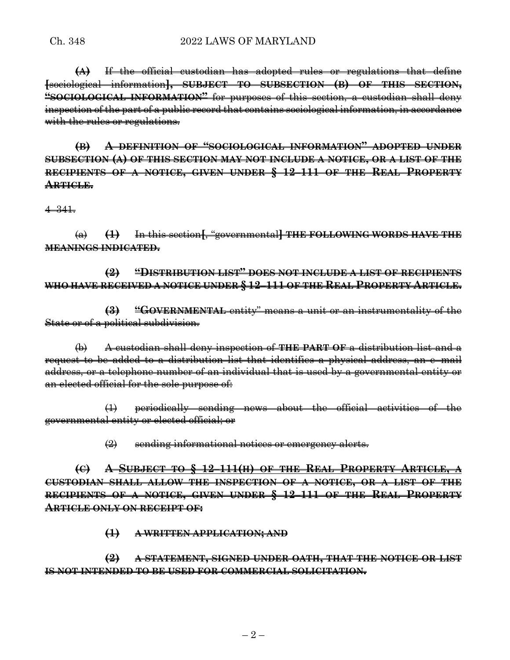#### Ch. 348 2022 LAWS OF MARYLAND

**(A)** If the official custodian has adopted rules or regulations that define **[**sociological information**], SUBJECT TO SUBSECTION (B) OF THIS SECTION, "SOCIOLOGICAL INFORMATION"** for purposes of this section, a custodian shall deny inspection of the part of a public record that contains sociological information, in accordance with the rules or regulations.

**(B) A DEFINITION OF "SOCIOLOGICAL INFORMATION" ADOPTED UNDER SUBSECTION (A) OF THIS SECTION MAY NOT INCLUDE A NOTICE, OR A LIST OF THE RECIPIENTS OF A NOTICE, GIVEN UNDER § 12–111 OF THE REAL PROPERTY ARTICLE.**

4–341.

(a) **(1)** In this section**[**, "governmental**] THE FOLLOWING WORDS HAVE THE MEANINGS INDICATED.**

**(2) "DISTRIBUTION LIST" DOES NOT INCLUDE A LIST OF RECIPIENTS WHO HAVE RECEIVED A NOTICE UNDER § 12–111 OF THE REAL PROPERTY ARTICLE.**

**(3) "GOVERNMENTAL** entity" means a unit or an instrumentality of the State or of a political subdivision.

(b) A custodian shall deny inspection of **THE PART OF** a distribution list and a request to be added to a distribution list that identifies a physical address, an e–mail address, or a telephone number of an individual that is used by a governmental entity or an elected official for the sole purpose of:

(1) periodically sending news about the official activities of the governmental entity or elected official; or

(2) sending informational notices or emergency alerts.

**(C) A SUBJECT TO § 12–111(H) OF THE REAL PROPERTY ARTICLE, A CUSTODIAN SHALL ALLOW THE INSPECTION OF A NOTICE, OR A LIST OF THE RECIPIENTS OF A NOTICE, GIVEN UNDER § 12–111 OF THE REAL PROPERTY ARTICLE ONLY ON RECEIPT OF:**

**(1) A WRITTEN APPLICATION; AND**

**(2) A STATEMENT, SIGNED UNDER OATH, THAT THE NOTICE OR LIST IS NOT INTENDED TO BE USED FOR COMMERCIAL SOLICITATION.**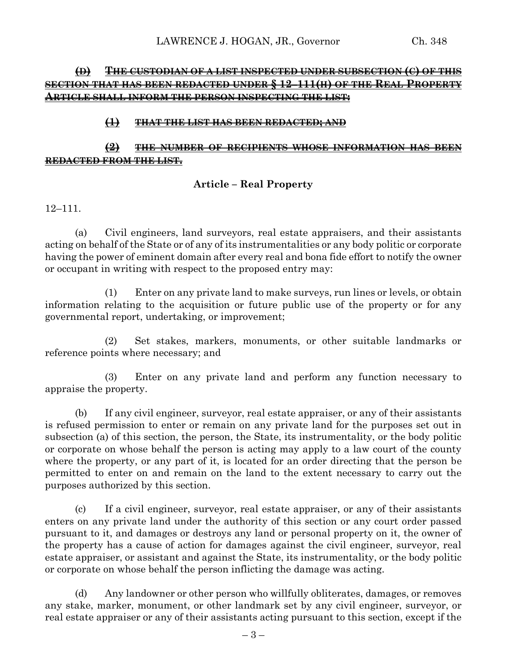## **(D) THE CUSTODIAN OF A LIST INSPECTED UNDER SUBSECTION (C) OF THIS SECTION THAT HAS BEEN REDACTED UNDER § 12–111(H) OF THE REAL PROPERTY ARTICLE SHALL INFORM THE PERSON INSPECTING THE LIST:**

### **(1) THAT THE LIST HAS BEEN REDACTED; AND**

## **(2) THE NUMBER OF RECIPIENTS WHOSE INFORMATION HAS BEEN REDACTED FROM THE LIST.**

## **Article – Real Property**

12–111.

(a) Civil engineers, land surveyors, real estate appraisers, and their assistants acting on behalf of the State or of any of its instrumentalities or any body politic or corporate having the power of eminent domain after every real and bona fide effort to notify the owner or occupant in writing with respect to the proposed entry may:

(1) Enter on any private land to make surveys, run lines or levels, or obtain information relating to the acquisition or future public use of the property or for any governmental report, undertaking, or improvement;

(2) Set stakes, markers, monuments, or other suitable landmarks or reference points where necessary; and

(3) Enter on any private land and perform any function necessary to appraise the property.

(b) If any civil engineer, surveyor, real estate appraiser, or any of their assistants is refused permission to enter or remain on any private land for the purposes set out in subsection (a) of this section, the person, the State, its instrumentality, or the body politic or corporate on whose behalf the person is acting may apply to a law court of the county where the property, or any part of it, is located for an order directing that the person be permitted to enter on and remain on the land to the extent necessary to carry out the purposes authorized by this section.

(c) If a civil engineer, surveyor, real estate appraiser, or any of their assistants enters on any private land under the authority of this section or any court order passed pursuant to it, and damages or destroys any land or personal property on it, the owner of the property has a cause of action for damages against the civil engineer, surveyor, real estate appraiser, or assistant and against the State, its instrumentality, or the body politic or corporate on whose behalf the person inflicting the damage was acting.

(d) Any landowner or other person who willfully obliterates, damages, or removes any stake, marker, monument, or other landmark set by any civil engineer, surveyor, or real estate appraiser or any of their assistants acting pursuant to this section, except if the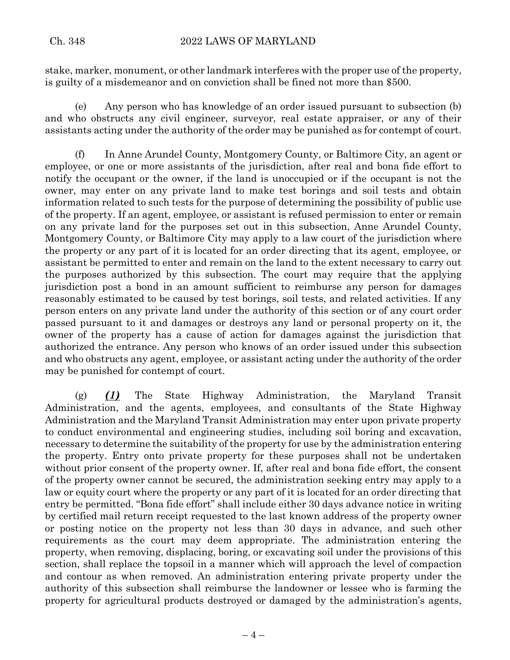stake, marker, monument, or other landmark interferes with the proper use of the property, is guilty of a misdemeanor and on conviction shall be fined not more than \$500.

(e) Any person who has knowledge of an order issued pursuant to subsection (b) and who obstructs any civil engineer, surveyor, real estate appraiser, or any of their assistants acting under the authority of the order may be punished as for contempt of court.

(f) In Anne Arundel County, Montgomery County, or Baltimore City, an agent or employee, or one or more assistants of the jurisdiction, after real and bona fide effort to notify the occupant or the owner, if the land is unoccupied or if the occupant is not the owner, may enter on any private land to make test borings and soil tests and obtain information related to such tests for the purpose of determining the possibility of public use of the property. If an agent, employee, or assistant is refused permission to enter or remain on any private land for the purposes set out in this subsection, Anne Arundel County, Montgomery County, or Baltimore City may apply to a law court of the jurisdiction where the property or any part of it is located for an order directing that its agent, employee, or assistant be permitted to enter and remain on the land to the extent necessary to carry out the purposes authorized by this subsection. The court may require that the applying jurisdiction post a bond in an amount sufficient to reimburse any person for damages reasonably estimated to be caused by test borings, soil tests, and related activities. If any person enters on any private land under the authority of this section or of any court order passed pursuant to it and damages or destroys any land or personal property on it, the owner of the property has a cause of action for damages against the jurisdiction that authorized the entrance. Any person who knows of an order issued under this subsection and who obstructs any agent, employee, or assistant acting under the authority of the order may be punished for contempt of court.

(g) *(1)* The State Highway Administration, the Maryland Transit Administration, and the agents, employees, and consultants of the State Highway Administration and the Maryland Transit Administration may enter upon private property to conduct environmental and engineering studies, including soil boring and excavation, necessary to determine the suitability of the property for use by the administration entering the property. Entry onto private property for these purposes shall not be undertaken without prior consent of the property owner. If, after real and bona fide effort, the consent of the property owner cannot be secured, the administration seeking entry may apply to a law or equity court where the property or any part of it is located for an order directing that entry be permitted. "Bona fide effort" shall include either 30 days advance notice in writing by certified mail return receipt requested to the last known address of the property owner or posting notice on the property not less than 30 days in advance, and such other requirements as the court may deem appropriate. The administration entering the property, when removing, displacing, boring, or excavating soil under the provisions of this section, shall replace the topsoil in a manner which will approach the level of compaction and contour as when removed. An administration entering private property under the authority of this subsection shall reimburse the landowner or lessee who is farming the property for agricultural products destroyed or damaged by the administration's agents,